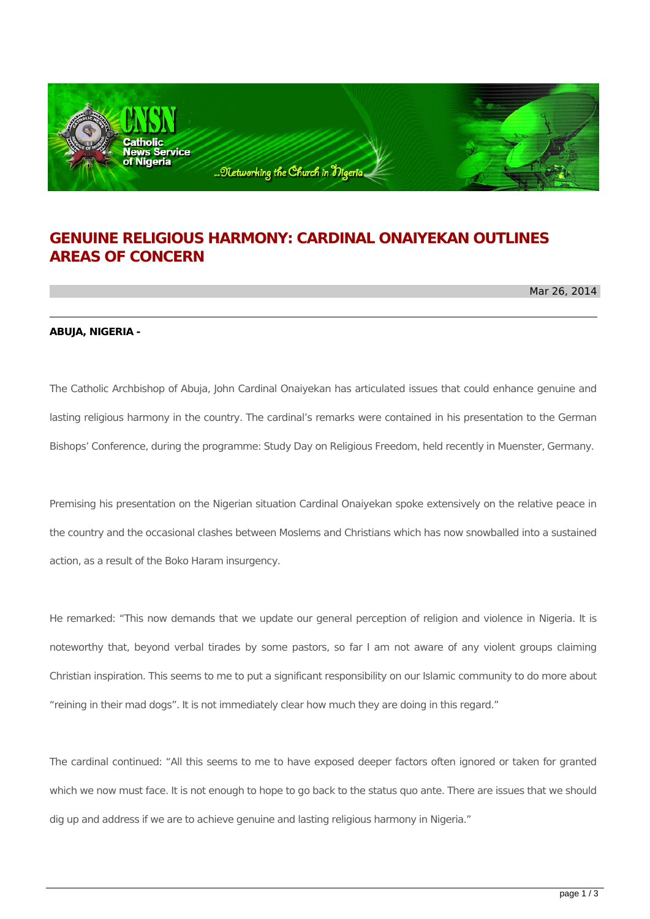

## **GENUINE RELIGIOUS HARMONY: CARDINAL ONAIYEKAN OUTLINES AREAS OF CONCERN**

Mar 26, 2014

## **ABUJA, NIGERIA -**

The Catholic Archbishop of Abuja, John Cardinal Onaiyekan has articulated issues that could enhance genuine and lasting religious harmony in the country. The cardinal's remarks were contained in his presentation to the German Bishops' Conference, during the programme: Study Day on Religious Freedom, held recently in Muenster, Germany.

Premising his presentation on the Nigerian situation Cardinal Onaiyekan spoke extensively on the relative peace in the country and the occasional clashes between Moslems and Christians which has now snowballed into a sustained action, as a result of the Boko Haram insurgency.

He remarked: "This now demands that we update our general perception of religion and violence in Nigeria. It is noteworthy that, beyond verbal tirades by some pastors, so far I am not aware of any violent groups claiming Christian inspiration. This seems to me to put a significant responsibility on our Islamic community to do more about "reining in their mad dogs". It is not immediately clear how much they are doing in this regard."

The cardinal continued: "All this seems to me to have exposed deeper factors often ignored or taken for granted which we now must face. It is not enough to hope to go back to the status quo ante. There are issues that we should dig up and address if we are to achieve genuine and lasting religious harmony in Nigeria."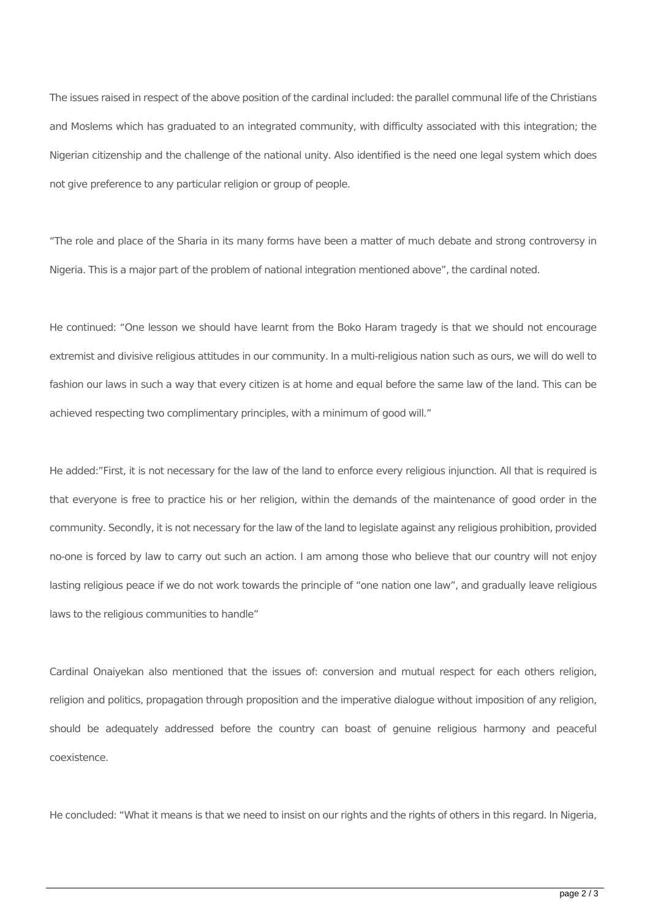The issues raised in respect of the above position of the cardinal included: the parallel communal life of the Christians and Moslems which has graduated to an integrated community, with difficulty associated with this integration; the Nigerian citizenship and the challenge of the national unity. Also identified is the need one legal system which does not give preference to any particular religion or group of people.

"The role and place of the Sharia in its many forms have been a matter of much debate and strong controversy in Nigeria. This is a major part of the problem of national integration mentioned above", the cardinal noted.

He continued: "One lesson we should have learnt from the Boko Haram tragedy is that we should not encourage extremist and divisive religious attitudes in our community. In a multi-religious nation such as ours, we will do well to fashion our laws in such a way that every citizen is at home and equal before the same law of the land. This can be achieved respecting two complimentary principles, with a minimum of good will."

He added:"First, it is not necessary for the law of the land to enforce every religious injunction. All that is required is that everyone is free to practice his or her religion, within the demands of the maintenance of good order in the community. Secondly, it is not necessary for the law of the land to legislate against any religious prohibition, provided no-one is forced by law to carry out such an action. I am among those who believe that our country will not enjoy lasting religious peace if we do not work towards the principle of "one nation one law", and gradually leave religious laws to the religious communities to handle"

Cardinal Onaiyekan also mentioned that the issues of: conversion and mutual respect for each others religion, religion and politics, propagation through proposition and the imperative dialogue without imposition of any religion, should be adequately addressed before the country can boast of genuine religious harmony and peaceful coexistence.

He concluded: "What it means is that we need to insist on our rights and the rights of others in this regard. In Nigeria,